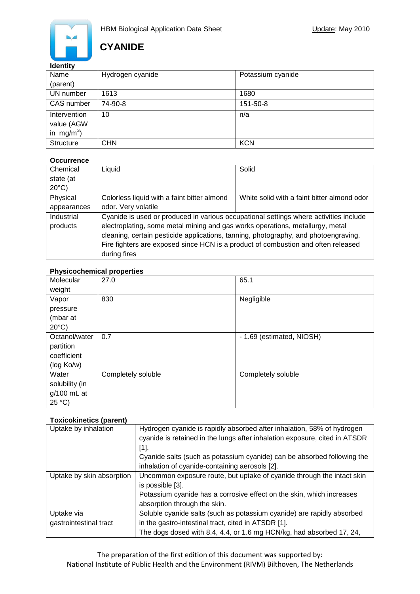

### **Identity**

| Name                   | Hydrogen cyanide | Potassium cyanide |
|------------------------|------------------|-------------------|
| (parent)               |                  |                   |
| UN number              | 1613             | 1680              |
| CAS number             | 74-90-8          | 151-50-8          |
| Intervention           | 10               | n/a               |
| value (AGW             |                  |                   |
| in mg/m <sup>3</sup> ) |                  |                   |
| <b>Structure</b>       | <b>CHN</b>       | <b>KCN</b>        |

#### **Occurrence**

| Chemical        | Liquid                                                                                | Solid                                       |  |
|-----------------|---------------------------------------------------------------------------------------|---------------------------------------------|--|
| state (at       |                                                                                       |                                             |  |
| $20^{\circ}$ C) |                                                                                       |                                             |  |
| Physical        | Colorless liquid with a faint bitter almond                                           | White solid with a faint bitter almond odor |  |
| appearances     | odor. Very volatile                                                                   |                                             |  |
| Industrial      | Cyanide is used or produced in various occupational settings where activities include |                                             |  |
| products        | electroplating, some metal mining and gas works operations, metallurgy, metal         |                                             |  |
|                 | cleaning, certain pesticide applications, tanning, photography, and photoengraving.   |                                             |  |
|                 | Fire fighters are exposed since HCN is a product of combustion and often released     |                                             |  |
|                 | during fires                                                                          |                                             |  |

#### **Physicochemical properties**

| Molecular<br>weight                                     | 27.0               | 65.1                      |
|---------------------------------------------------------|--------------------|---------------------------|
| Vapor<br>pressure<br>(mbar at<br>$20^{\circ}$ C)        | 830                | Negligible                |
| Octanol/water<br>partition<br>coefficient<br>(log Ko/w) | 0.7                | - 1.69 (estimated, NIOSH) |
| Water<br>solubility (in<br>g/100 mL at<br>25 °C         | Completely soluble | Completely soluble        |

### **Toxicokinetics (parent)**

| Uptake by inhalation      | Hydrogen cyanide is rapidly absorbed after inhalation, 58% of hydrogen     |  |  |
|---------------------------|----------------------------------------------------------------------------|--|--|
|                           | cyanide is retained in the lungs after inhalation exposure, cited in ATSDR |  |  |
|                           | $[1]$ .                                                                    |  |  |
|                           | Cyanide salts (such as potassium cyanide) can be absorbed following the    |  |  |
|                           | inhalation of cyanide-containing aerosols [2].                             |  |  |
| Uptake by skin absorption | Uncommon exposure route, but uptake of cyanide through the intact skin     |  |  |
|                           | is possible [3].                                                           |  |  |
|                           | Potassium cyanide has a corrosive effect on the skin, which increases      |  |  |
|                           | absorption through the skin.                                               |  |  |
| Uptake via                | Soluble cyanide salts (such as potassium cyanide) are rapidly absorbed     |  |  |
| gastrointestinal tract    | in the gastro-intestinal tract, cited in ATSDR [1].                        |  |  |
|                           | The dogs dosed with 8.4, 4.4, or 1.6 mg HCN/kg, had absorbed 17, 24,       |  |  |

The preparation of the first edition of this document was supported by: National Institute of Public Health and the Environment (RIVM) Bilthoven, The Netherlands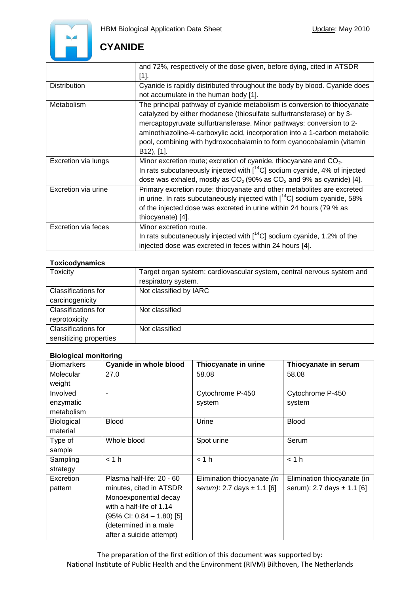

|                            | and 72%, respectively of the dose given, before dying, cited in ATSDR<br>$[1]$ .                                                                                                                                                                                                                                                                                                                |
|----------------------------|-------------------------------------------------------------------------------------------------------------------------------------------------------------------------------------------------------------------------------------------------------------------------------------------------------------------------------------------------------------------------------------------------|
| <b>Distribution</b>        | Cyanide is rapidly distributed throughout the body by blood. Cyanide does<br>not accumulate in the human body [1].                                                                                                                                                                                                                                                                              |
| Metabolism                 | The principal pathway of cyanide metabolism is conversion to thiocyanate<br>catalyzed by either rhodanese (thiosulfate sulfurtransferase) or by 3-<br>mercaptopyruvate sulfurtransferase. Minor pathways: conversion to 2-<br>aminothiazoline-4-carboxylic acid, incorporation into a 1-carbon metabolic<br>pool, combining with hydroxocobalamin to form cyanocobalamin (vitamin<br>B12), [1]. |
| Excretion via lungs        | Minor excretion route; excretion of cyanide, thiocyanate and $CO2$ .<br>In rats subcutaneously injected with $1^{14}C$ ] sodium cyanide, 4% of injected<br>dose was exhaled, mostly as $CO2$ (90% as $CO2$ and 9% as cyanide) [4].                                                                                                                                                              |
| Excretion via urine        | Primary excretion route: thiocyanate and other metabolites are excreted<br>in urine. In rats subcutaneously injected with $\int_{0}^{14}$ C] sodium cyanide, 58%<br>of the injected dose was excreted in urine within 24 hours (79 % as<br>thiocyanate) [4].                                                                                                                                    |
| <b>Excretion via feces</b> | Minor excretion route.<br>In rats subcutaneously injected with $[$ <sup>14</sup> C] sodium cyanide, 1.2% of the<br>injected dose was excreted in feces within 24 hours [4].                                                                                                                                                                                                                     |

### **Toxicodynamics**

| <b>Toxicity</b>            | Target organ system: cardiovascular system, central nervous system and |  |
|----------------------------|------------------------------------------------------------------------|--|
|                            | respiratory system.                                                    |  |
| Classifications for        | Not classified by IARC                                                 |  |
| carcinogenicity            |                                                                        |  |
| <b>Classifications for</b> | Not classified                                                         |  |
| reprotoxicity              |                                                                        |  |
| Classifications for        | Not classified                                                         |  |
| sensitizing properties     |                                                                        |  |

#### **Biological monitoring**

| <b>Biomarkers</b> | <b>Cyanide in whole blood</b>         | Thiocyanate in urine           | Thiocyanate in serum           |
|-------------------|---------------------------------------|--------------------------------|--------------------------------|
| Molecular         | 27.0                                  | 58.08                          | 58.08                          |
| weight            |                                       |                                |                                |
| Involved          | ۰                                     | Cytochrome P-450               | Cytochrome P-450               |
| enzymatic         |                                       | system                         | system                         |
| metabolism        |                                       |                                |                                |
| Biological        | <b>Blood</b>                          | Urine                          | <b>Blood</b>                   |
| material          |                                       |                                |                                |
| Type of           | Whole blood                           | Spot urine                     | Serum                          |
| sample            |                                       |                                |                                |
| Sampling          | < 1 h                                 | < 1 h                          | < 1 h                          |
| strategy          |                                       |                                |                                |
| Excretion         | Plasma half-life: 20 - 60             | Elimination thiocyanate (in    | Elimination thiocyanate (in    |
| pattern           | minutes, cited in ATSDR               | serum): 2.7 days $\pm$ 1.1 [6] | serum): 2.7 days $\pm$ 1.1 [6] |
|                   | Monoexponential decay                 |                                |                                |
|                   | with a half-life of 1.14              |                                |                                |
|                   | $(95\% \text{ Cl: } 0.84 - 1.80)$ [5] |                                |                                |
|                   | (determined in a male                 |                                |                                |
|                   | after a suicide attempt)              |                                |                                |

The preparation of the first edition of this document was supported by: National Institute of Public Health and the Environment (RIVM) Bilthoven, The Netherlands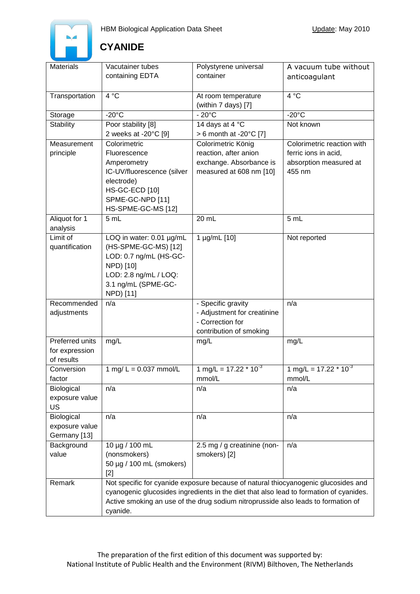

| <b>Materials</b> | Vacutainer tubes                                                                       | Polystyrene universal                                                              | A vacuum tube without      |
|------------------|----------------------------------------------------------------------------------------|------------------------------------------------------------------------------------|----------------------------|
|                  | containing EDTA                                                                        | container                                                                          |                            |
|                  |                                                                                        |                                                                                    | anticoagulant              |
|                  |                                                                                        |                                                                                    |                            |
| Transportation   | 4 °C                                                                                   | At room temperature                                                                | 4 °C                       |
|                  |                                                                                        | (within 7 days) [7]                                                                |                            |
| Storage          | $-20^{\circ}$ C                                                                        | $-20^{\circ}$ C                                                                    | $-20^{\circ}$ C            |
| <b>Stability</b> | Poor stability [8]                                                                     | 14 days at 4 °C                                                                    | Not known                  |
|                  | 2 weeks at -20°C [9]                                                                   | $> 6$ month at -20 $\degree$ C [7]                                                 |                            |
| Measurement      | Colorimetric                                                                           | Colorimetric König                                                                 | Colorimetric reaction with |
| principle        | Fluorescence                                                                           | reaction, after anion                                                              | ferric ions in acid,       |
|                  | Amperometry                                                                            | exchange. Absorbance is                                                            | absorption measured at     |
|                  | IC-UV/fluorescence (silver                                                             | measured at 608 nm [10]                                                            | 455 nm                     |
|                  | electrode)                                                                             |                                                                                    |                            |
|                  | <b>HS-GC-ECD [10]</b>                                                                  |                                                                                    |                            |
|                  | SPME-GC-NPD [11]                                                                       |                                                                                    |                            |
|                  |                                                                                        |                                                                                    |                            |
|                  | HS-SPME-GC-MS [12]                                                                     |                                                                                    |                            |
| Aliquot for 1    | 5 mL                                                                                   | 20 mL                                                                              | 5 mL                       |
| analysis         |                                                                                        |                                                                                    |                            |
| Limit of         | LOQ in water: 0.01 µg/mL                                                               | 1 µg/mL [10]                                                                       | Not reported               |
| quantification   | (HS-SPME-GC-MS) [12]                                                                   |                                                                                    |                            |
|                  | LOD: 0.7 ng/mL (HS-GC-                                                                 |                                                                                    |                            |
|                  | NPD) [10]                                                                              |                                                                                    |                            |
|                  | LOD: 2.8 ng/mL / LOQ:                                                                  |                                                                                    |                            |
|                  | 3.1 ng/mL (SPME-GC-                                                                    |                                                                                    |                            |
|                  | NPD) [11]                                                                              |                                                                                    |                            |
| Recommended      | n/a                                                                                    | - Specific gravity                                                                 | n/a                        |
| adjustments      |                                                                                        | - Adjustment for creatinine                                                        |                            |
|                  |                                                                                        | - Correction for                                                                   |                            |
|                  |                                                                                        | contribution of smoking                                                            |                            |
| Preferred units  | mg/L                                                                                   | mg/L                                                                               | mg/L                       |
| for expression   |                                                                                        |                                                                                    |                            |
| of results       |                                                                                        |                                                                                    |                            |
| Conversion       | 1 mg/ $L = 0.037$ mmol/L                                                               | 1 mg/L = $17.22 * 10^{-3}$                                                         | 1 mg/L = $17.22 * 10^{-3}$ |
| factor           |                                                                                        | mmol/L                                                                             | mmol/L                     |
|                  |                                                                                        |                                                                                    |                            |
| Biological       | n/a                                                                                    | n/a                                                                                | n/a                        |
| exposure value   |                                                                                        |                                                                                    |                            |
| <b>US</b>        |                                                                                        |                                                                                    |                            |
| Biological       | n/a                                                                                    | n/a                                                                                | n/a                        |
| exposure value   |                                                                                        |                                                                                    |                            |
| Germany [13]     |                                                                                        |                                                                                    |                            |
| Background       | 10 µg / 100 mL                                                                         | 2.5 mg / g creatinine (non-                                                        | n/a                        |
| value            | (nonsmokers)                                                                           | smokers) [2]                                                                       |                            |
|                  | 50 µg / 100 mL (smokers)                                                               |                                                                                    |                            |
|                  | $[2]$                                                                                  |                                                                                    |                            |
| Remark           |                                                                                        | Not specific for cyanide exposure because of natural thiocyanogenic glucosides and |                            |
|                  | cyanogenic glucosides ingredients in the diet that also lead to formation of cyanides. |                                                                                    |                            |
|                  |                                                                                        | Active smoking an use of the drug sodium nitroprusside also leads to formation of  |                            |
|                  | cyanide.                                                                               |                                                                                    |                            |
|                  |                                                                                        |                                                                                    |                            |